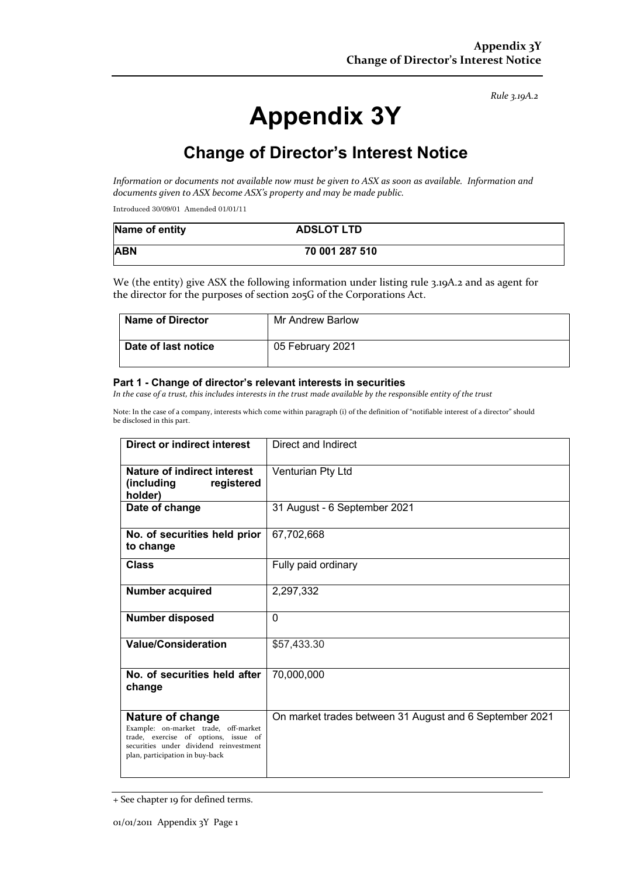#### *Rule 3.19A.2*

# **Appendix 3Y**

# **Change of Director's Interest Notice**

*Information or documents not available now must be given to ASX as soon as available. Information and documents given to ASX become ASX's property and may be made public.*

Introduced 30/09/01 Amended 01/01/11

| Name of entity | <b>ADSLOT LTD</b> |  |
|----------------|-------------------|--|
| <b>ABN</b>     | 70 001 287 510    |  |

We (the entity) give ASX the following information under listing rule 3.19A.2 and as agent for the director for the purposes of section 205G of the Corporations Act.

| <b>Name of Director</b> | Mr Andrew Barlow |
|-------------------------|------------------|
| Date of last notice     | 05 February 2021 |

#### **Part 1 - Change of director's relevant interests in securities**

*In the case of a trust, this includes interests in the trust made available by the responsible entity of the trust*

Note: In the case of a company, interests which come within paragraph (i) of the definition of "notifiable interest of a director" should be disclosed in this part.

| Direct or indirect interest                                                                                                                                                   | Direct and Indirect                                     |
|-------------------------------------------------------------------------------------------------------------------------------------------------------------------------------|---------------------------------------------------------|
| <b>Nature of indirect interest</b><br>(including<br>registered<br>holder)                                                                                                     | Venturian Pty Ltd                                       |
| Date of change                                                                                                                                                                | 31 August - 6 September 2021                            |
| No. of securities held prior<br>to change                                                                                                                                     | 67,702,668                                              |
| <b>Class</b>                                                                                                                                                                  | Fully paid ordinary                                     |
| <b>Number acquired</b>                                                                                                                                                        | 2,297,332                                               |
| <b>Number disposed</b>                                                                                                                                                        | $\Omega$                                                |
| <b>Value/Consideration</b>                                                                                                                                                    | \$57,433.30                                             |
| No. of securities held after<br>change                                                                                                                                        | 70,000,000                                              |
| Nature of change<br>Example: on-market trade, off-market<br>trade, exercise of options, issue of<br>securities under dividend reinvestment<br>plan, participation in buy-back | On market trades between 31 August and 6 September 2021 |

<sup>+</sup> See chapter 19 for defined terms.